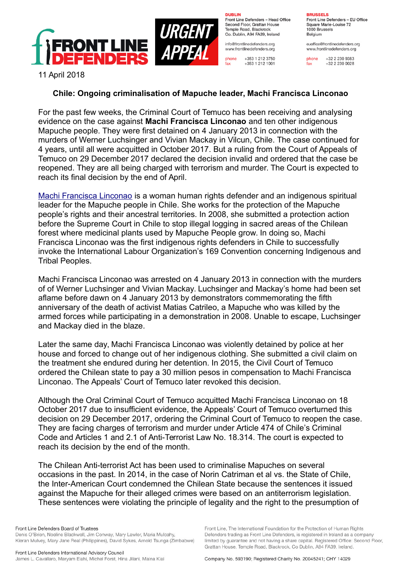

**DURLIN** Front Line Defenders - Head Office Second Floor, Grattan House Temple Boad, Blackrock Co. Dublin, A94 FA39, Ireland

info@frontlinedefenders.org www.frontlinedefenders.org

+353 1 212 3750 phone  $fax$ +353 1 212 1001

**BDHCCELC** 

Front Line Defenders - EU Office Square Marie-Louise 72 1000 Brussels Belgium

euoffice@frontlinedefenders.org www.frontlinedefenders.org

phone +32 2 230 9383  $fax$  $+3222300028$ 

11 April 2018

## **Chile: Ongoing criminalisation of Mapuche leader, Machi Francisca Linconao**

For the past few weeks, the Criminal Court of Temuco has been receiving and analysing evidence on the case against **Machi Francisca Linconao** and ten other indigenous Mapuche people. They were first detained on 4 January 2013 in connection with the murders of Werner Luchsinger and Vivian Mackay in Vilcun, Chile. The case continued for 4 years, until all were acquitted in October 2017. But a ruling from the Court of Appeals of Temuco on 29 December 2017 declared the decision invalid and ordered that the case be reopened. They are all being charged with terrorism and murder. The Court is expected to reach its final decision by the end of April.

[Machi Francisca Linconao](https://www.frontlinedefenders.org/en/profile/machi-francisca-linconao) is a woman human rights defender and an indigenous spiritual leader for the Mapuche people in Chile. She works for the protection of the Mapuche people's rights and their ancestral territories. In 2008, she submitted a protection action before the Supreme Court in Chile to stop illegal logging in sacred areas of the Chilean forest where medicinal plants used by Mapuche People grow. In doing so, Machi Francisca Linconao was the first indigenous rights defenders in Chile to successfully invoke the International Labour Organization's 169 Convention concerning Indigenous and Tribal Peoples.

Machi Francisca Linconao was arrested on 4 January 2013 in connection with the murders of of Werner Luchsinger and Vivian Mackay. Luchsinger and Mackay's home had been set aflame before dawn on 4 January 2013 by demonstrators commemorating the fifth anniversary of the death of activist Matias Catrileo, a Mapuche who was killed by the armed forces while participating in a demonstration in 2008. Unable to escape, Luchsinger and Mackay died in the blaze.

Later the same day, Machi Francisca Linconao was violently detained by police at her house and forced to change out of her indigenous clothing. She submitted a civil claim on the treatment she endured during her detention. In 2015, the Civil Court of Temuco ordered the Chilean state to pay a 30 million pesos in compensation to Machi Francisca Linconao. The Appeals' Court of Temuco later revoked this decision.

Although the Oral Criminal Court of Temuco acquitted Machi Francisca Linconao on 18 October 2017 due to insufficient evidence, the Appeals' Court of Temuco overturned this decision on 29 December 2017, ordering the Criminal Court of Temuco to reopen the case. They are facing charges of terrorism and murder under Article 474 of Chile's Criminal Code and Articles 1 and 2.1 of Anti-Terrorist Law No. 18.314. The court is expected to reach its decision by the end of the month.

The Chilean Anti-terrorist Act has been used to criminalise Mapuches on several occasions in the past. In 2014, in the case of Norin Catriman et al vs. the State of Chile, the Inter-American Court condemned the Chilean State because the sentences it issued against the Mapuche for their alleged crimes were based on an antiterrorism legislation. These sentences were violating the principle of legality and the right to the presumption of

Front Line, The International Foundation for the Protection of Human Rights

Defenders trading as Front Line Defenders, is registered in Ireland as a company

limited by guarantee and not having a share capital. Registered Office: Second Floor,